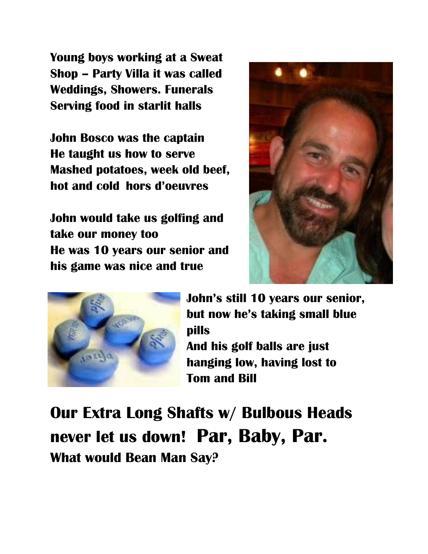**Young boys working at a Sweat Shop – Party Villa it was called Weddings, Showers. Funerals Serving food in starlit halls**

**John Bosco was the captain He taught us how to serve Mashed potatoes, week old beef, hot and cold hors d'oeuvres**

**John would take us golfing and take our money too He was 10 years our senior and his game was nice and true**





**John's still 10 years our senior, but now he's taking small blue pills** 

**And his golf balls are just hanging low, having lost to Tom and Bill** 

**Our Extra Long Shafts w/ Bulbous Heads never let us down! Par, Baby, Par. What would Bean Man Say?**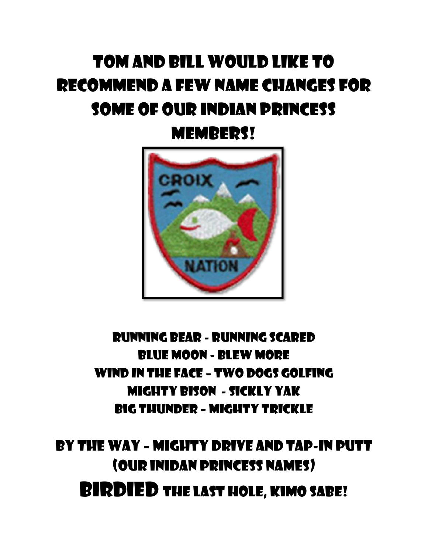### Tom and Bill would like to recommend a few name changes for some of our Indian princess

Members!



#### Running Bear - Running Scared Blue Moon - Blew more Wind in the Face – Two Dogs Golfing Mighty Bison - Sickly Yak Big Thunder – Mighty Trickle

By the Way – Mighty Drive and Tap-in putt (our Inidan princess Names) BIRDIED THE LAST HOLE, KIMO SABE!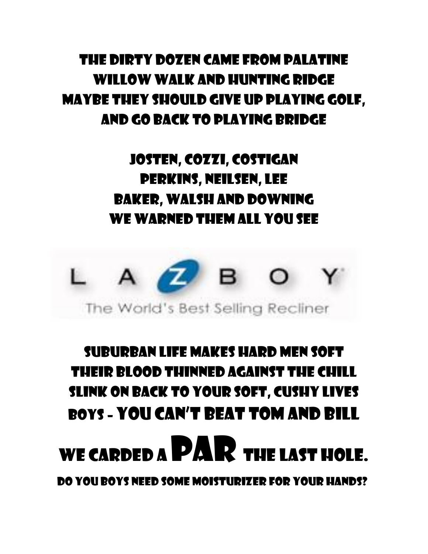#### The Dirty Dozen came from Palatine Willow Walk and Hunting Ridge Maybe they should give up playing golf, and go back to playing Bridge

#### Josten, Cozzi, Costigan Perkins, Neilsen, Lee Baker, Walsh and Downing We warned them all you see



### Suburban life makes hard men soft their blood thinned against the chill Slink on back to your soft, cushy lives Boys – You can't beat Tom and Bill

## WE CARDED A  $\mathbf{P}$ **AR** THE LAST HOLE.

Do you boys need Some moisturizer for your hands?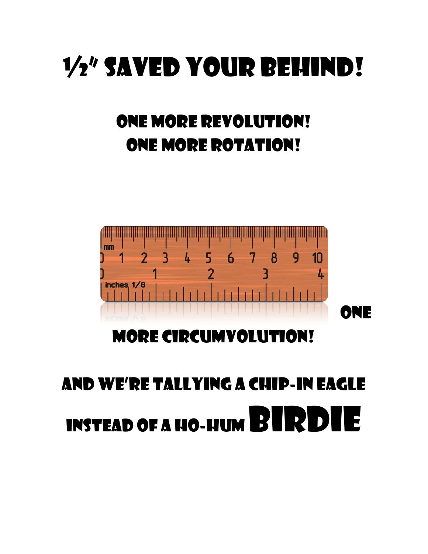## ½" saved your Behind!

### One more Revolution! One More Rotation!



More Circumvolution!

## And we're tallying a Chip-in Eagle INSTEAD OF A HO-HUM BIRDIE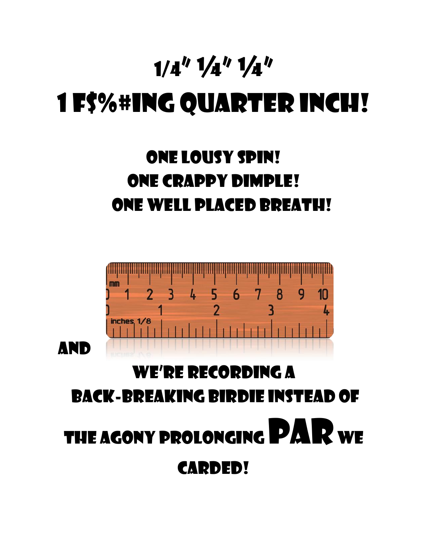## $1/4''$   $1/4''$   $1/4''$ 1 F\$%#ing Quarter Inch!

### One lousy Spin! One Crappy Dimple! One Well Placed Breath!

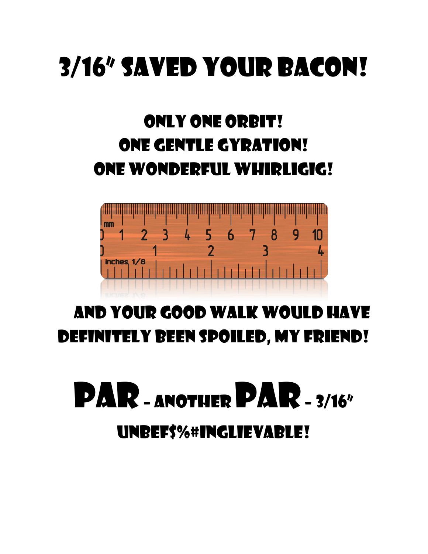## 3/16" saved your BACON!

### Only One Orbit! One Gentle Gyration! One Wonderful Whirligig!



### And Your Good Walk would have definitely been Spoiled, my Friend!

## PAR - ANOTHER PAR - 3/16" UnbeF\$%#inglievable!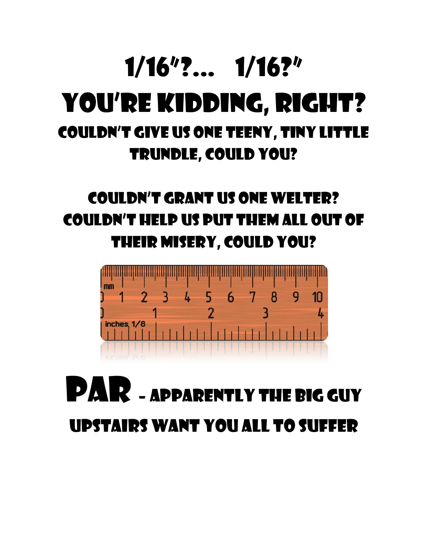### 1/16"?... 1/16?" You're Kidding, Right? Couldn't Give us One teeny, Tiny little Trundle, could you?

### Couldn't Grant us one welter? Couldn't help us put them all out of their misery, could you?



## PAR – APPARENTLY THE BIG GUY upstairs want you all to suffer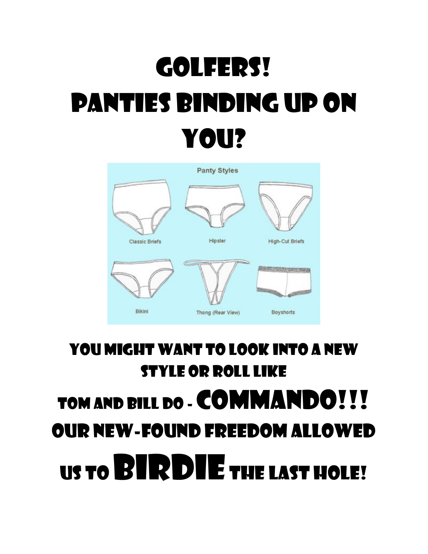## Golfers! Panties binding up on you?



### You might want to look into a new style or Roll like TOM AND BILL DO - **COMMANDO!!!** Our new-Found Freedom Allowed us to BIRDIE the Last Hole!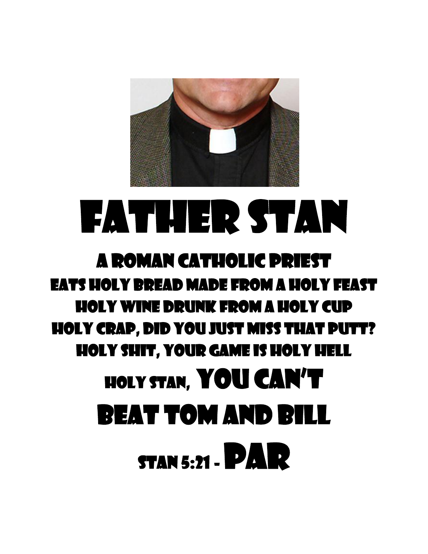

## FATHER STAN

### a Roman Catholic Priest Eats holy bread made from a holy feast Holy wine drunk from a holy cup Holy crap, did you just miss that putt? Holy shit, your game is Holy Hell Holy Stan, YoU can't beat Tom and Bill **STAN 5:21 - PAR**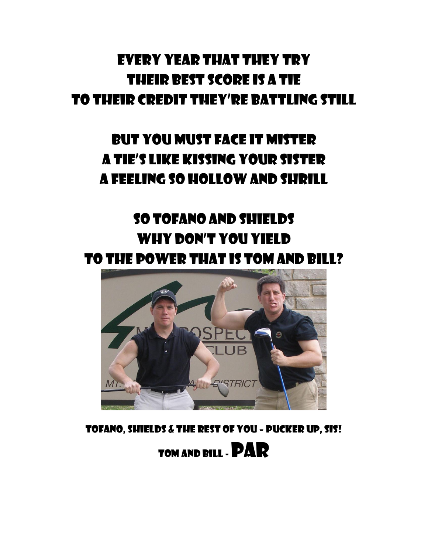#### Every year that they try Their best score is a tie to their credit they're battling still

#### But you must face it mister A tie's like kissing your sister a feeling so hollow and shrill

#### So Tofano and Shields Why don't you yield to the power that is Tom and Bill?



Tofano, Shields & the Rest of you – Pucker Up, Sis! Tom and Bill -PAR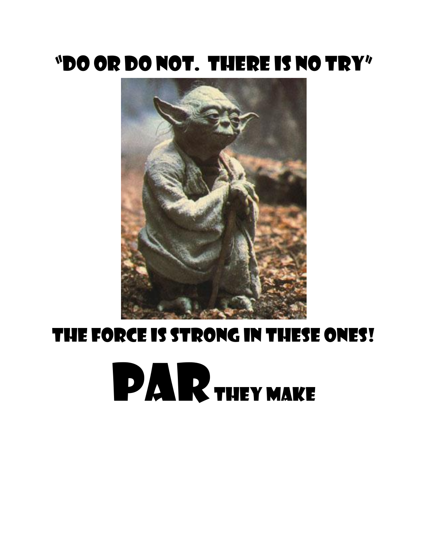### "Do or Do not. There is no Try"



## THE FORCE IS STRONG IN THESE ONES! **PAR**THEY MAKE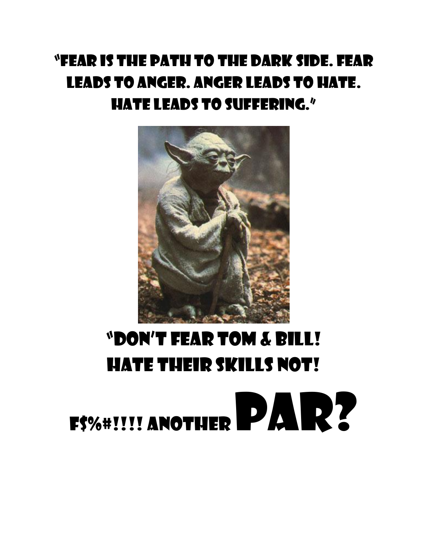### "Fear is the path to the dark side. Fear leads to anger. Anger leads to hate. Hate leads to suffering."



## "Don't FEAR Tom & Bill! Hate Their Skills Not!

# F\$%#!!!! ANOTHER PAR?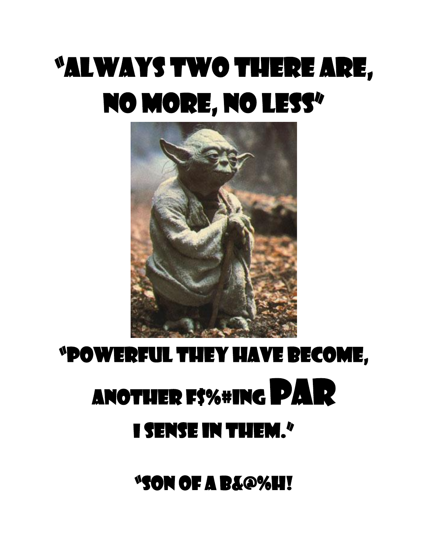## "Always two there are, no more, no less"



## "Powerful They have become, ANOTHER F\$%#ING PAR I sense in Them."

"Son of a B&@%h!